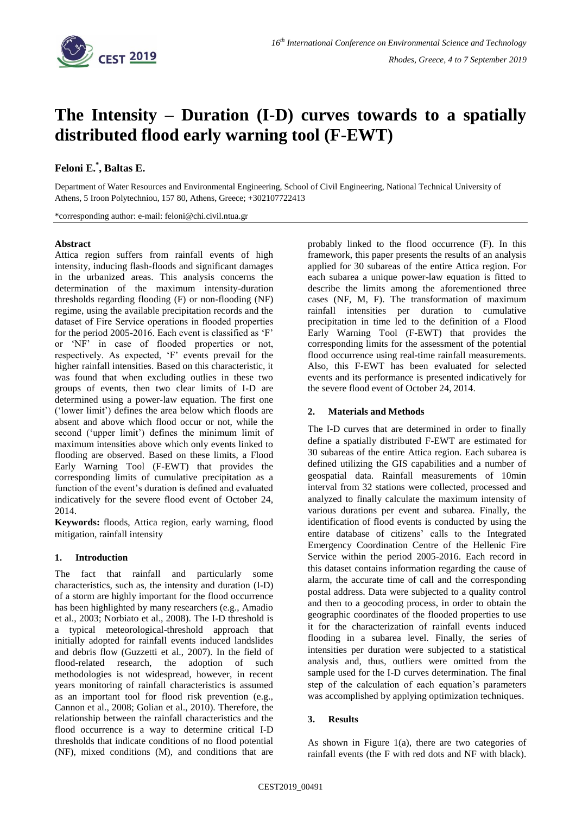

# **The Intensity – Duration (I-D) curves towards to a spatially distributed flood early warning tool (F-EWT)**

## **Feloni E.\* , Baltas E.**

Department of Water Resources and Environmental Engineering, School of Civil Engineering, National Technical University of Athens, 5 Iroon Polytechniou, 157 80, Athens, Greece; +302107722413

\*corresponding author: e-mail: feloni@chi.civil.ntua.gr

#### **Abstract**

Attica region suffers from rainfall events of high intensity, inducing flash-floods and significant damages in the urbanized areas. This analysis concerns the determination of the maximum intensity-duration thresholds regarding flooding (F) or non-flooding (NF) regime, using the available precipitation records and the dataset of Fire Service operations in flooded properties for the period 2005-2016. Each event is classified as 'F' or 'NF' in case of flooded properties or not, respectively. As expected, 'F' events prevail for the higher rainfall intensities. Based on this characteristic, it was found that when excluding outlies in these two groups of events, then two clear limits of I-D are determined using a power-law equation. The first one ('lower limit') defines the area below which floods are absent and above which flood occur or not, while the second ('upper limit') defines the minimum limit of maximum intensities above which only events linked to flooding are observed. Based on these limits, a Flood Early Warning Tool (F-EWT) that provides the corresponding limits of cumulative precipitation as a function of the event's duration is defined and evaluated indicatively for the severe flood event of October 24, 2014.

**Keywords:** floods, Attica region, early warning, flood mitigation, rainfall intensity

#### **1. Introduction**

The fact that rainfall and particularly some characteristics, such as, the intensity and duration (I-D) of a storm are highly important for the flood occurrence has been highlighted by many researchers (e.g., Amadio et al., 2003; Norbiato et al., 2008). The I-D threshold is a typical meteorological-threshold approach that initially adopted for rainfall events induced landslides and debris flow (Guzzetti et al., 2007). In the field of flood-related research, the adoption of such methodologies is not widespread, however, in recent years monitoring of rainfall characteristics is assumed as an important tool for flood risk prevention (e.g., Cannon et al., 2008; Golian et al., 2010). Therefore, the relationship between the rainfall characteristics and the flood occurrence is a way to determine critical I-D thresholds that indicate conditions of no flood potential (NF), mixed conditions (M), and conditions that are probably linked to the flood occurrence (F). In this framework, this paper presents the results of an analysis applied for 30 subareas of the entire Attica region. For each subarea a unique power-law equation is fitted to describe the limits among the aforementioned three cases (NF, M, F). The transformation of maximum rainfall intensities per duration to cumulative precipitation in time led to the definition of a Flood Early Warning Tool (F-EWT) that provides the corresponding limits for the assessment of the potential flood occurrence using real-time rainfall measurements. Also, this F-EWT has been evaluated for selected events and its performance is presented indicatively for the severe flood event of October 24, 2014.

### **2. Materials and Methods**

The I-D curves that are determined in order to finally define a spatially distributed F-EWT are estimated for 30 subareas of the entire Attica region. Each subarea is defined utilizing the GIS capabilities and a number of geospatial data. Rainfall measurements of 10min interval from 32 stations were collected, processed and analyzed to finally calculate the maximum intensity of various durations per event and subarea. Finally, the identification of flood events is conducted by using the entire database of citizens' calls to the Integrated Emergency Coordination Centre of the Hellenic Fire Service within the period 2005-2016. Each record in this dataset contains information regarding the cause of alarm, the accurate time of call and the corresponding postal address. Data were subjected to a quality control and then to a geocoding process, in order to obtain the geographic coordinates of the flooded properties to use it for the characterization of rainfall events induced flooding in a subarea level. Finally, the series of intensities per duration were subjected to a statistical analysis and, thus, outliers were omitted from the sample used for the I-D curves determination. The final step of the calculation of each equation's parameters was accomplished by applying optimization techniques.

#### **3. Results**

As shown in Figure  $1(a)$ , there are two categories of rainfall events (the F with red dots and NF with black).